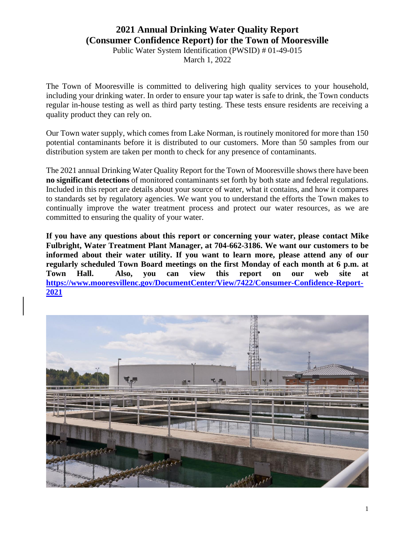# **2021 Annual Drinking Water Quality Report (Consumer Confidence Report) for the Town of Mooresville**

Public Water System Identification (PWSID) # 01-49-015

March 1, 2022

The Town of Mooresville is committed to delivering high quality services to your household, including your drinking water. In order to ensure your tap water is safe to drink, the Town conducts regular in-house testing as well as third party testing. These tests ensure residents are receiving a quality product they can rely on.

Our Town water supply, which comes from Lake Norman, is routinely monitored for more than 150 potential contaminants before it is distributed to our customers. More than 50 samples from our distribution system are taken per month to check for any presence of contaminants.

The 2021 annual Drinking Water Quality Report for the Town of Mooresville shows there have been **no significant detections** of monitored contaminants set forth by both state and federal regulations. Included in this report are details about your source of water, what it contains, and how it compares to standards set by regulatory agencies. We want you to understand the efforts the Town makes to continually improve the water treatment process and protect our water resources, as we are committed to ensuring the quality of your water.

**If you have any questions about this report or concerning your water, please contact Mike Fulbright, Water Treatment Plant Manager, at 704-662-3186. We want our customers to be informed about their water utility. If you want to learn more, please attend any of our regularly scheduled Town Board meetings on the first Monday of each month at 6 p.m. at Town Hall. Also, you can view this report on our web site at [https://www.mooresvillenc.gov/DocumentCenter/View/7422/Consumer-Confidence-Report-](https://www.mooresvillenc.gov/DocumentCenter/View/7422/Consumer-Confidence-Report-2021)[2021](https://www.mooresvillenc.gov/DocumentCenter/View/7422/Consumer-Confidence-Report-2021)**

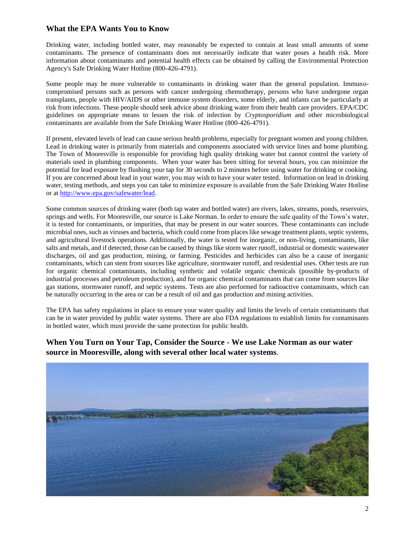#### **What the EPA Wants You to Know**

Drinking water, including bottled water, may reasonably be expected to contain at least small amounts of some contaminants. The presence of contaminants does not necessarily indicate that water poses a health risk. More information about contaminants and potential health effects can be obtained by calling the Environmental Protection Agency's Safe Drinking Water Hotline (800-426-4791).

Some people may be more vulnerable to contaminants in drinking water than the general population. Immunocompromised persons such as persons with cancer undergoing chemotherapy, persons who have undergone organ transplants, people with HIV/AIDS or other immune system disorders, some elderly, and infants can be particularly at risk from infections. These people should seek advice about drinking water from their health care providers. EPA/CDC guidelines on appropriate means to lessen the risk of infection by *Cryptosporidium* and other microbiological contaminants are available from the Safe Drinking Water Hotline (800-426-4791).

If present, elevated levels of lead can cause serious health problems, especially for pregnant women and young children. Lead in drinking water is primarily from materials and components associated with service lines and home plumbing. The Town of Mooresville is responsible for providing high quality drinking water but cannot control the variety of materials used in plumbing components. When your water has been sitting for several hours, you can minimize the potential for lead exposure by flushing your tap for 30 seconds to 2 minutes before using water for drinking or cooking. If you are concerned about lead in your water, you may wish to have your water tested. Information on lead in drinking water, testing methods, and steps you can take to minimize exposure is available from the Safe Drinking Water Hotline or a[t http://www.epa.gov/safewater/lead.](http://www.epa.gov/safewater/lead)

Some common sources of drinking water (both tap water and bottled water) are rivers, lakes, streams, ponds, reservoirs, springs and wells. For Mooresville, our source is Lake Norman. In order to ensure the safe quality of the Town's water, it is tested for contaminants, or impurities, that may be present in our water sources. These contaminants can include microbial ones, such as viruses and bacteria, which could come from places like sewage treatment plants, septic systems, and agricultural livestock operations. Additionally, the water is tested for inorganic, or non-living, contaminants, like salts and metals, and if detected, those can be caused by things like storm water runoff, industrial or domestic wastewater discharges, oil and gas production, mining, or farming. Pesticides and herbicides can also be a cause of inorganic contaminants, which can stem from sources like agriculture, stormwater runoff, and residential uses. Other tests are run for organic chemical contaminants, including synthetic and volatile organic chemicals (possible by-products of industrial processes and petroleum production), and for organic chemical contaminants that can come from sources like gas stations, stormwater runoff, and septic systems. Tests are also performed for radioactive contaminants, which can be naturally occurring in the area or can be a result of oil and gas production and mining activities.

The EPA has safety regulations in place to ensure your water quality and limits the levels of certain contaminants that can be in water provided by public water systems. There are also FDA regulations to establish limits for contaminants in bottled water, which must provide the same protection for public health.

### **When You Turn on Your Tap, Consider the Source - We use Lake Norman as our water source in Mooresville, along with several other local water systems**.

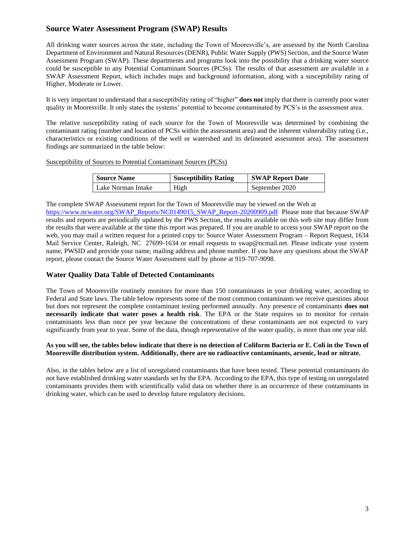#### **Source Water Assessment Program (SWAP) Results**

All drinking water sources across the state, including the Town of Mooresville's, are assessed by the North Carolina Department of Environment and Natural Resources (DENR), Public Water Supply (PWS) Section, and the Source Water Assessment Program (SWAP). These departments and programs look into the possibility that a drinking water source could be susceptible to any Potential Contaminant Sources (PCSs). The results of that assessment are available in a SWAP Assessment Report, which includes maps and background information, along with a susceptibility rating of Higher, Moderate or Lower.

It is very important to understand that a susceptibility rating of "higher" **does not** imply that there is currently poor water quality in Mooresville. It only states the systems' potential to become contaminated by PCS's in the assessment area.

The relative susceptibility rating of each source for the Town of Mooresville was determined by combining the contaminant rating (number and location of PCSs within the assessment area) and the inherent vulnerability rating (i.e., characteristics or existing conditions of the well or watershed and its delineated assessment area). The assessment findings are summarized in the table below:

Susceptibility of Sources to Potential Contaminant Sources (PCSs)

| <b>Source Name</b> | <b>Susceptibility Rating</b> | <b>SWAP Report Date</b> |
|--------------------|------------------------------|-------------------------|
| Lake Norman Intake | High                         | September 2020          |

The complete SWAP Assessment report for the Town of Mooresville may be viewed on the Web at

[https://www.ncwater.org/SWAP\\_Reports/NC0149015\\_SWAP\\_Report-20200909.pdf](https://www.ncwater.org/SWAP_Reports/NC0149015_SWAP_Report-20200909.pdf) Please note that because SWAP results and reports are periodically updated by the PWS Section, the results available on this web site may differ from the results that were available at the time this report was prepared. If you are unable to access your SWAP report on the web, you may mail a written request for a printed copy to: Source Water Assessment Program – Report Request, 1634 Mail Service Center, Raleigh, NC 27699-1634 or email requests to swap@ncmail.net. Please indicate your system name, PWSID and provide your name, mailing address and phone number. If you have any questions about the SWAP report, please contact the Source Water Assessment staff by phone at 919-707-9098.

#### **Water Quality Data Table of Detected Contaminants**

The Town of Mooresville routinely monitors for more than 150 contaminants in your drinking water, according to Federal and State laws. The table below represents some of the most common contaminants we receive questions about but does not represent the complete contaminant testing performed annually. Any presence of contaminants **does not necessarily indicate that water poses a health risk**. The EPA or the State requires us to monitor for certain contaminants less than once per year because the concentrations of these contaminants are not expected to vary significantly from year to year. Some of the data, though representative of the water quality, is more than one year old.

#### **As you will see, the tables below indicate that there is no detection of Coliform Bacteria or E. Coli in the Town of Mooresville distribution system. Additionally, there are no radioactive contaminants, arsenic, lead or nitrate.**

Also, in the tables below are a list of unregulated contaminants that have been tested. These potential contaminants do not have established drinking water standards set by the EPA. According to the EPA, this type of testing on unregulated contaminants provides them with scientifically valid data on whether there is an occurrence of these contaminants in drinking water, which can be used to develop future regulatory decisions.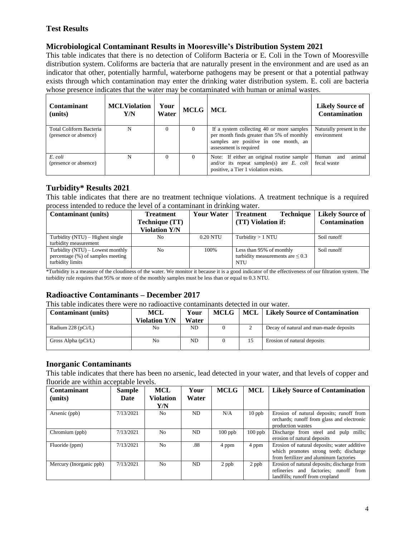### **Test Results**

### **Microbiological Contaminant Results in Mooresville's Distribution System 2021**

This table indicates that there is no detection of Coliform Bacteria or E. Coli in the Town of Mooresville distribution system. Coliforms are bacteria that are naturally present in the environment and are used as an indicator that other, potentially harmful, waterborne pathogens may be present or that a potential pathway exists through which contamination may enter the drinking water distribution system. E. coli are bacteria whose presence indicates that the water may be contaminated with human or animal wastes.

| <b>Contaminant</b><br>(units)                    | <b>MCLViolation</b><br>Y/N | Your<br>Water | MCLG   MCL |                                                                                                                                                            | <b>Likely Source of</b><br>Contamination |
|--------------------------------------------------|----------------------------|---------------|------------|------------------------------------------------------------------------------------------------------------------------------------------------------------|------------------------------------------|
| Total Coliform Bacteria<br>(presence or absence) | N                          |               | $\Omega$   | If a system collecting 40 or more samples<br>per month finds greater than 5% of monthly<br>samples are positive in one month, an<br>assessment is required | Naturally present in the<br>environment  |
| E. coli<br>(presence or absence)                 | N                          | $\Omega$      | $\Omega$   | Note: If either an original routine sample<br>and/or its repeat samples(s) are $E$ . <i>coli</i><br>positive, a Tier 1 violation exists.                   | animal<br>Human<br>and<br>fecal waste    |

### **Turbidity\* Results 2021**

This table indicates that there are no treatment technique violations. A treatment technique is a required process intended to reduce the level of a contaminant in drinking water.

| <b>Contaminant</b> (units)                                                                  | <b>Treatment</b>     | <b>Your Water</b> | <b>Treatment</b><br><b>Technique</b>                                     | <b>Likely Source of</b> |
|---------------------------------------------------------------------------------------------|----------------------|-------------------|--------------------------------------------------------------------------|-------------------------|
|                                                                                             | Technique (TT)       |                   | (TT) Violation if:                                                       | <b>Contamination</b>    |
|                                                                                             | <b>Violation Y/N</b> |                   |                                                                          |                         |
| Turbidity $(NTU)$ – Highest single                                                          | No                   | 0.20 NTU          | Turbidity $> 1$ NTU                                                      | Soil runoff             |
| turbidity measurement                                                                       |                      |                   |                                                                          |                         |
| Turbidity $(NTU)$ – Lowest monthly<br>percentage (%) of samples meeting<br>turbidity limits | N <sub>0</sub>       | 100%              | Less than 95% of monthly<br>turbidity measurements are $\leq 0.3$<br>NTU | Soil runoff             |

\*Turbidity is a measure of the cloudiness of the water. We monitor it because it is a good indicator of the effectiveness of our filtration system. The turbidity rule requires that 95% or more of the monthly samples must be less than or equal to 0.3 NTU.

# **Radioactive Contaminants – December 2017**

This table indicates there were no radioactive contaminants detected in our water.

| <b>Contaminant</b> (units) | MCL                  | Your  | <b>MCLG</b> | <b>MCL</b> | <b>Likely Source of Contamination</b>  |
|----------------------------|----------------------|-------|-------------|------------|----------------------------------------|
|                            | <b>Violation Y/N</b> | Water |             |            |                                        |
| Radium 228 ( $pCi/L$ )     | No                   | ND    |             |            | Decay of natural and man-made deposits |
| Gross Alpha $(pCi/L)$      | No                   | ND    |             | 15         | Erosion of natural deposits            |

#### **Inorganic Contaminants**

This table indicates that there has been no arsenic, lead detected in your water, and that levels of copper and fluoride are within acceptable levels.

| <b>Contaminant</b><br>(units) | <b>Sample</b><br>Date | MCL<br><b>Violation</b> | Your<br>Water | <b>MCLG</b> | <b>MCL</b> | <b>Likely Source of Contamination</b>                                                                                           |
|-------------------------------|-----------------------|-------------------------|---------------|-------------|------------|---------------------------------------------------------------------------------------------------------------------------------|
|                               |                       | Y/N                     |               |             |            |                                                                                                                                 |
| Arsenic (ppb)                 | 7/13/2021             | N <sub>o</sub>          | ND.           | N/A         | $10$ ppb   | Erosion of natural deposits; runoff from<br>orchards; runoff from glass and electronic<br>production wastes                     |
| Chromium (ppb)                | 7/13/2021             | N <sub>0</sub>          | ND            | $100$ ppb   | $100$ ppb  | Discharge from steel and pulp mills;<br>erosion of natural deposits                                                             |
| Fluoride (ppm)                | 7/13/2021             | N <sub>0</sub>          | .88           | 4 ppm       | 4 ppm      | Erosion of natural deposits; water additive<br>which promotes strong teeth; discharge<br>from fertilizer and aluminum factories |
| Mercury (Inorganic ppb)       | 7/13/2021             | N <sub>0</sub>          | ND.           | 2 ppb       | 2 ppb      | Erosion of natural deposits; discharge from<br>refineries and factories: runoff from<br>landfills; runoff from cropland         |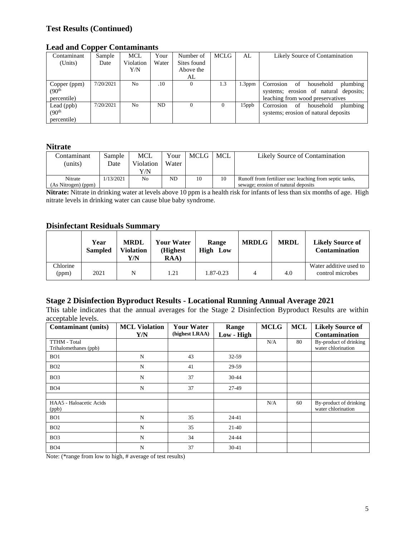### **Test Results (Continued)**

#### **Lead and Copper Contaminants**

| Contaminant         | Sample    | <b>MCL</b>     | Your      | Number of   | <b>MCLG</b> | AL        | Likely Source of Contamination           |
|---------------------|-----------|----------------|-----------|-------------|-------------|-----------|------------------------------------------|
| (Units)             | Date      | Violation      | Water     | Sites found |             |           |                                          |
|                     |           | Y/N            |           | Above the   |             |           |                                          |
|                     |           |                |           | AL          |             |           |                                          |
| Copper (ppm)        | 7/20/2021 | N <sub>0</sub> | .10       | $\Omega$    | 1.3         | $1.3$ ppm | plumbing<br>Corrosion of<br>household    |
| (90 <sup>th</sup> ) |           |                |           |             |             |           | systems; erosion of natural deposits;    |
| percentile)         |           |                |           |             |             |           | leaching from wood preservatives         |
| Lead $(ppb)$        | 7/20/2021 | N <sub>o</sub> | <b>ND</b> | $\Omega$    | 0           | $15$ ppb  | of<br>household<br>plumbing<br>Corrosion |
| (90 <sup>th</sup> ) |           |                |           |             |             |           | systems; erosion of natural deposits     |
| percentile)         |           |                |           |             |             |           |                                          |

#### **Nitrate**

| Contaminant         | Sample    | <b>MCL</b>     | Your  | MCLG | MCL | Likely Source of Contamination                          |
|---------------------|-----------|----------------|-------|------|-----|---------------------------------------------------------|
| (units)             | Date      | Violation      | Water |      |     |                                                         |
|                     |           | Y/N            |       |      |     |                                                         |
| Nitrate             | 1/13/2021 | N <sub>0</sub> | ND    | 10   | 10  | Runoff from fertilizer use: leaching from septic tanks, |
| (As Nitrogen) (ppm) |           |                |       |      |     | sewage; erosion of natural deposits                     |

**Nitrate:** Nitrate in drinking water at levels above 10 ppm is a health risk for infants of less than six months of age. High nitrate levels in drinking water can cause blue baby syndrome.

#### **Disinfectant Residuals Summary**

|                   | Year<br><b>Sampled</b> | <b>MRDL</b><br><b>Violation</b><br>Y/N | <b>Your Water</b><br>(Highest<br>RAA) | Range<br><b>High Low</b> | <b>MRDLG</b> | <b>MRDL</b> | <b>Likely Source of</b><br><b>Contamination</b> |
|-------------------|------------------------|----------------------------------------|---------------------------------------|--------------------------|--------------|-------------|-------------------------------------------------|
| Chlorine<br>(ppm) | 2021                   | N                                      | 1.21                                  | 1.87-0.23                |              | 4.0         | Water additive used to<br>control microbes      |

### **Stage 2 Disinfection Byproduct Results - Locational Running Annual Average 2021**

This table indicates that the annual averages for the Stage 2 Disinfection Byproduct Results are within acceptable levels.

| <b>Contaminant</b> (units)            | <b>MCL Violation</b> | <b>Your Water</b> | Range      | <b>MCLG</b> | <b>MCL</b> | <b>Likely Source of</b>                      |
|---------------------------------------|----------------------|-------------------|------------|-------------|------------|----------------------------------------------|
|                                       | Y/N                  | (highest LRAA)    | Low - High |             |            | <b>Contamination</b>                         |
| TTHM - Total<br>Trihalomethanes (ppb) |                      |                   |            | N/A         | 80         | By-product of drinking<br>water chlorination |
| BO <sub>1</sub>                       | N                    | 43                | 32-59      |             |            |                                              |
| BO2                                   | N                    | 41                | 29-59      |             |            |                                              |
| BO <sub>3</sub>                       | N                    | 37                | 30-44      |             |            |                                              |
| BO4                                   | N                    | 37                | 27-49      |             |            |                                              |
|                                       |                      |                   |            |             |            |                                              |
| HAA5 - Haloacetic Acids<br>(ppb)      |                      |                   |            | N/A         | 60         | By-product of drinking<br>water chlorination |
| BO1                                   | N                    | 35                | 24-41      |             |            |                                              |
| BO2                                   | N                    | 35                | $21-40$    |             |            |                                              |
| BO <sub>3</sub>                       | N                    | 34                | 24-44      |             |            |                                              |
| BO4                                   | N                    | 37                | $30 - 41$  |             |            |                                              |

Note: (\*range from low to high, # average of test results)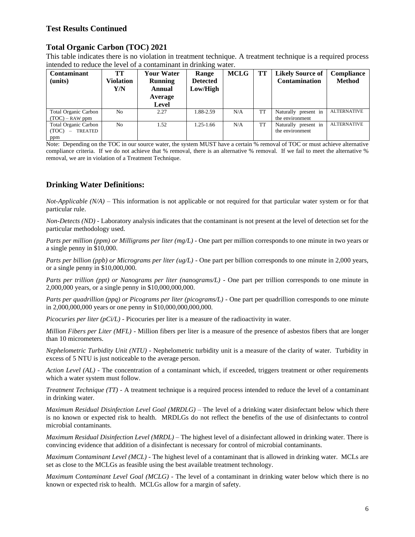#### **Test Results Continued**

### **Total Organic Carbon (TOC) 2021**

This table indicates there is no violation in treatment technique. A treatment technique is a required process intended to reduce the level of a contaminant in drinking water.

| Contaminant<br>(units)                                                      | TT<br><b>Violation</b><br>Y/N | <b>Your Water</b><br><b>Running</b><br>Annual<br>Average<br>Level | Range<br><b>Detected</b><br>Low/High | <b>MCLG</b> | TT        | <b>Likely Source of</b><br><b>Contamination</b> | <b>Compliance</b><br><b>Method</b> |
|-----------------------------------------------------------------------------|-------------------------------|-------------------------------------------------------------------|--------------------------------------|-------------|-----------|-------------------------------------------------|------------------------------------|
| <b>Total Organic Carbon</b><br>$(TOC) - RAW$ ppm                            | N <sub>0</sub>                | 2.27                                                              | 1.88-2.59                            | N/A         | <b>TT</b> | Naturally present in<br>the environment         | <b>ALTERNATIVE</b>                 |
| Total Organic Carbon<br>(TOC)<br>TREATED<br>$\overline{\phantom{a}}$<br>ppm | N <sub>0</sub>                | 1.52                                                              | 1.25-1.66                            | N/A         | <b>TT</b> | Naturally present in<br>the environment         | <b>ALTERNATIVE</b>                 |

Note: Depending on the TOC in our source water, the system MUST have a certain % removal of TOC or must achieve alternative compliance criteria. If we do not achieve that % removal, there is an alternative % removal. If we fail to meet the alternative % removal, we are in violation of a Treatment Technique.

# **Drinking Water Definitions:**

*Not-Applicable (N/A)* – This information is not applicable or not required for that particular water system or for that particular rule.

*Non-Detects (ND)* - Laboratory analysis indicates that the contaminant is not present at the level of detection set for the particular methodology used.

*Parts per million (ppm) or Milligrams per liter (mg/L)* - One part per million corresponds to one minute in two years or a single penny in \$10,000.

*Parts per billion (ppb) or Micrograms per liter (ug/L)* - One part per billion corresponds to one minute in 2,000 years, or a single penny in \$10,000,000.

*Parts per trillion (ppt) or Nanograms per liter (nanograms/L)* - One part per trillion corresponds to one minute in 2,000,000 years, or a single penny in \$10,000,000,000.

*Parts per quadrillion (ppq) or Picograms per liter (picograms/L)* - One part per quadrillion corresponds to one minute in 2,000,000,000 years or one penny in \$10,000,000,000,000.

*Picocuries per liter (pCi/L)* - Picocuries per liter is a measure of the radioactivity in water.

*Million Fibers per Liter (MFL)* - Million fibers per liter is a measure of the presence of asbestos fibers that are longer than 10 micrometers.

*Nephelometric Turbidity Unit (NTU)* - Nephelometric turbidity unit is a measure of the clarity of water. Turbidity in excess of 5 NTU is just noticeable to the average person.

*Action Level (AL) -* The concentration of a contaminant which, if exceeded, triggers treatment or other requirements which a water system must follow.

*Treatment Technique (TT)* - A treatment technique is a required process intended to reduce the level of a contaminant in drinking water.

*Maximum Residual Disinfection Level Goal (MRDLG)* – The level of a drinking water disinfectant below which there is no known or expected risk to health. MRDLGs do not reflect the benefits of the use of disinfectants to control microbial contaminants.

*Maximum Residual Disinfection Level (MRDL)* – The highest level of a disinfectant allowed in drinking water. There is convincing evidence that addition of a disinfectant is necessary for control of microbial contaminants.

*Maximum Contaminant Level (MCL)* - The highest level of a contaminant that is allowed in drinking water. MCLs are set as close to the MCLGs as feasible using the best available treatment technology.

*Maximum Contaminant Level Goal (MCLG)* - The level of a contaminant in drinking water below which there is no known or expected risk to health. MCLGs allow for a margin of safety.